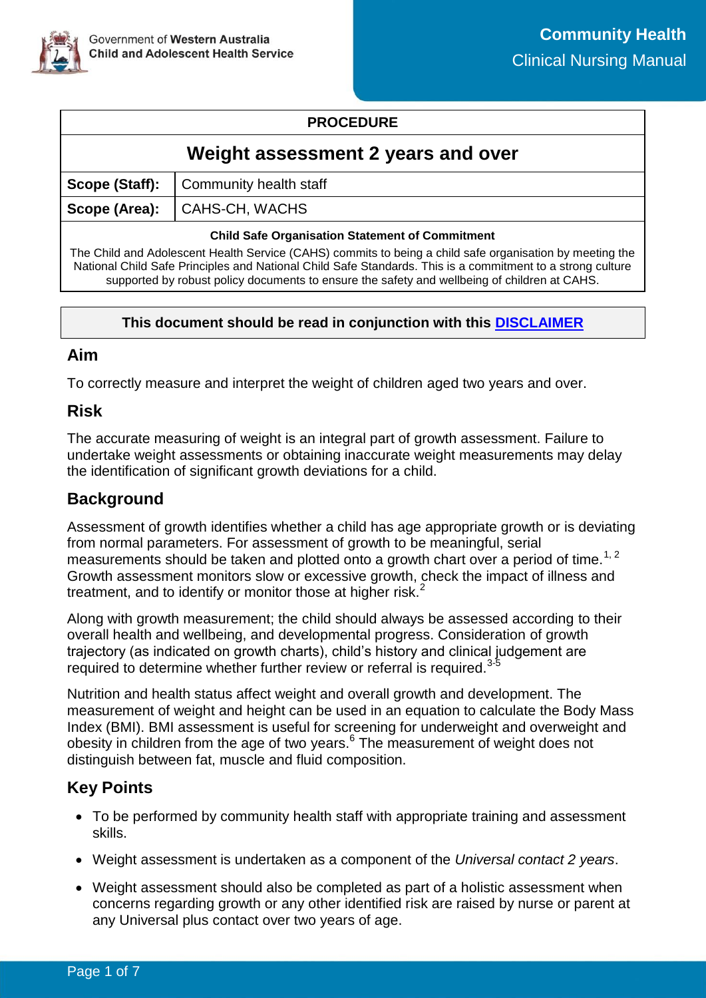

### **PROCEDURE**

### **Weight assessment 2 years and over**

| Scope (Staff): Community health staff |
|---------------------------------------|
| Scope (Area): CAHS-CH, WACHS          |
|                                       |

#### **Child Safe Organisation Statement of Commitment**

The Child and Adolescent Health Service (CAHS) commits to being a child safe organisation by meeting the National Child Safe Principles and National Child Safe Standards. This is a commitment to a strong culture supported by robust policy documents to ensure the safety and wellbeing of children at CAHS.

### **This document should be read in conjunction with this [DISCLAIMER](https://cahs.health.wa.gov.au/For-health-professionals/Resources/CAHS-Clinical-Disclaimer)**

### **Aim**

To correctly measure and interpret the weight of children aged two years and over.

### **Risk**

The accurate measuring of weight is an integral part of growth assessment. Failure to undertake weight assessments or obtaining inaccurate weight measurements may delay the identification of significant growth deviations for a child.

## **Background**

Assessment of growth identifies whether a child has age appropriate growth or is deviating from normal parameters. For assessment of growth to be meaningful, serial measurements should be taken and plotted onto a growth chart over a period of time.<sup>1, 2</sup> Growth assessment monitors slow or excessive growth, check the impact of illness and treatment, and to identify or monitor those at higher risk. $<sup>2</sup>$ </sup>

Along with growth measurement; the child should always be assessed according to their overall health and wellbeing, and developmental progress. Consideration of growth trajectory (as indicated on growth charts), child's history and clinical judgement are required to determine whether further review or referral is required.<sup>3-5</sup>

Nutrition and health status affect weight and overall growth and development. The measurement of weight and height can be used in an equation to calculate the Body Mass Index (BMI). BMI assessment is useful for screening for underweight and overweight and obesity in children from the age of two years.<sup>6</sup> The measurement of weight does not distinguish between fat, muscle and fluid composition.

# **Key Points**

- To be performed by community health staff with appropriate training and assessment skills.
- Weight assessment is undertaken as a component of the *Universal contact 2 years*.
- Weight assessment should also be completed as part of a holistic assessment when concerns regarding growth or any other identified risk are raised by nurse or parent at any Universal plus contact over two years of age.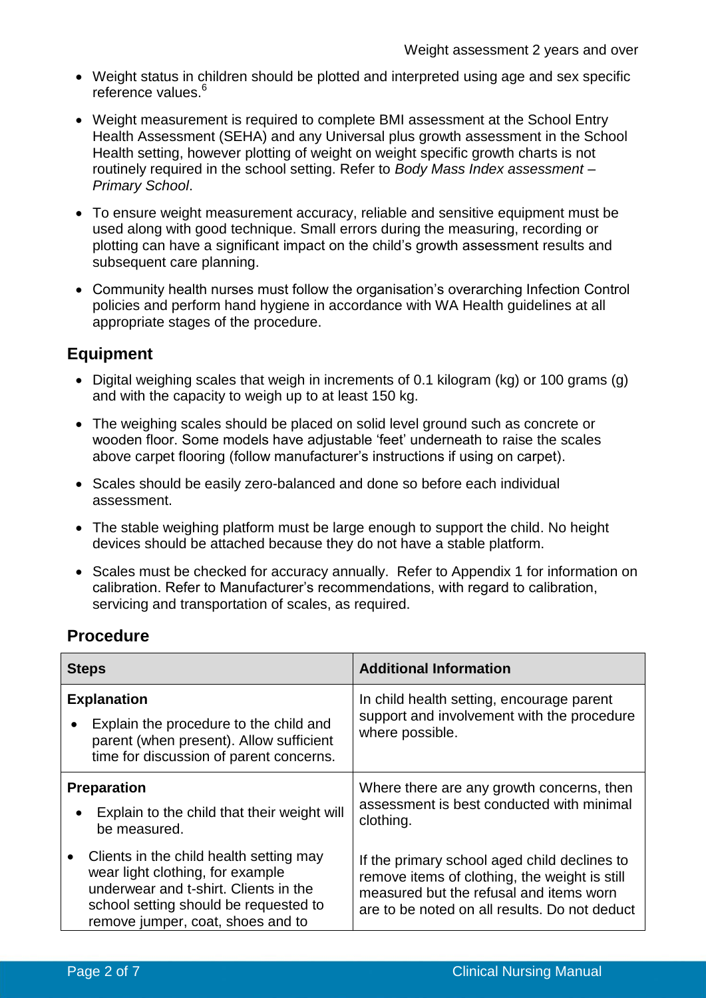- Weight status in children should be plotted and interpreted using age and sex specific reference values. $<sup>6</sup>$ </sup>
- Weight measurement is required to complete BMI assessment at the School Entry Health Assessment (SEHA) and any Universal plus growth assessment in the School Health setting, however plotting of weight on weight specific growth charts is not routinely required in the school setting. Refer to *Body Mass Index assessment – Primary School*.
- To ensure weight measurement accuracy, reliable and sensitive equipment must be used along with good technique. Small errors during the measuring, recording or plotting can have a significant impact on the child's growth assessment results and subsequent care planning.
- Community health nurses must follow the organisation's overarching Infection Control policies and perform hand hygiene in accordance with WA Health guidelines at all appropriate stages of the procedure.

## **Equipment**

- Digital weighing scales that weigh in increments of 0.1 kilogram (kg) or 100 grams (g) and with the capacity to weigh up to at least 150 kg.
- The weighing scales should be placed on solid level ground such as concrete or wooden floor. Some models have adjustable 'feet' underneath to raise the scales above carpet flooring (follow manufacturer's instructions if using on carpet).
- Scales should be easily zero-balanced and done so before each individual assessment.
- The stable weighing platform must be large enough to support the child. No height devices should be attached because they do not have a stable platform.
- Scales must be checked for accuracy annually. Refer to Appendix 1 for information on calibration. Refer to Manufacturer's recommendations, with regard to calibration, servicing and transportation of scales, as required.

# **Procedure**

| <b>Steps</b>                                                                                                                                                                                                    | <b>Additional Information</b>                                                                                                                                                             |  |
|-----------------------------------------------------------------------------------------------------------------------------------------------------------------------------------------------------------------|-------------------------------------------------------------------------------------------------------------------------------------------------------------------------------------------|--|
| <b>Explanation</b><br>Explain the procedure to the child and<br>$\bullet$<br>parent (when present). Allow sufficient<br>time for discussion of parent concerns.                                                 | In child health setting, encourage parent<br>support and involvement with the procedure<br>where possible.                                                                                |  |
| <b>Preparation</b><br>Explain to the child that their weight will<br>be measured.                                                                                                                               | Where there are any growth concerns, then<br>assessment is best conducted with minimal<br>clothing.                                                                                       |  |
| Clients in the child health setting may<br>$\bullet$<br>wear light clothing, for example<br>underwear and t-shirt. Clients in the<br>school setting should be requested to<br>remove jumper, coat, shoes and to | If the primary school aged child declines to<br>remove items of clothing, the weight is still<br>measured but the refusal and items worn<br>are to be noted on all results. Do not deduct |  |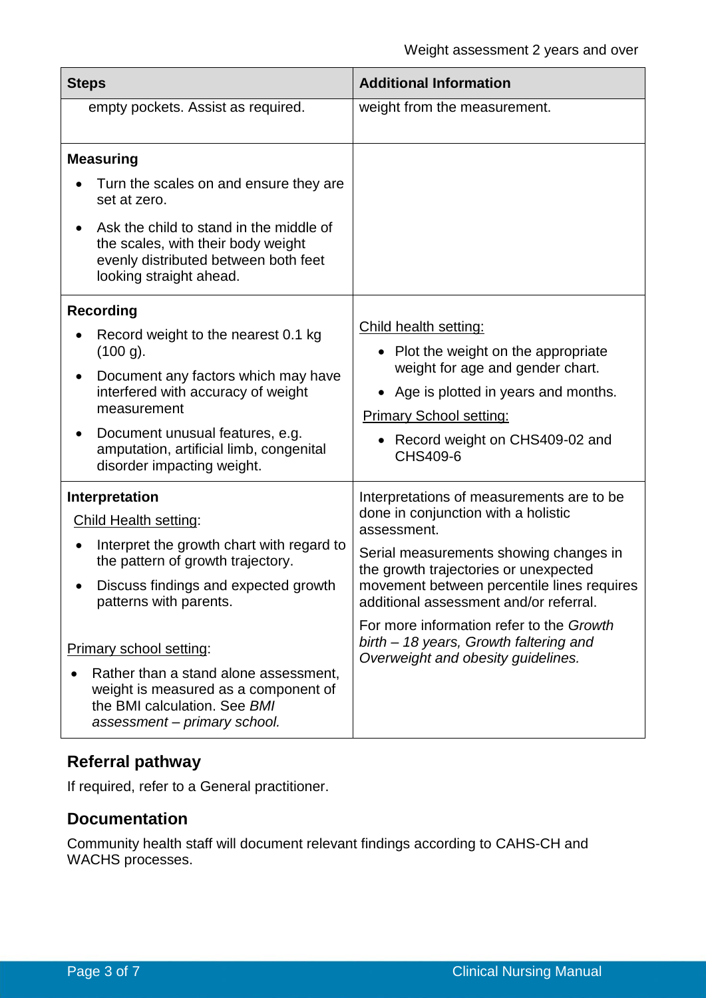| <b>Steps</b>                                                                                                                                                                                                                                                                                                                                                                          | <b>Additional Information</b>                                                                                                                                                                                                                                                                                                                                                                          |  |
|---------------------------------------------------------------------------------------------------------------------------------------------------------------------------------------------------------------------------------------------------------------------------------------------------------------------------------------------------------------------------------------|--------------------------------------------------------------------------------------------------------------------------------------------------------------------------------------------------------------------------------------------------------------------------------------------------------------------------------------------------------------------------------------------------------|--|
| empty pockets. Assist as required.                                                                                                                                                                                                                                                                                                                                                    | weight from the measurement.                                                                                                                                                                                                                                                                                                                                                                           |  |
| <b>Measuring</b><br>Turn the scales on and ensure they are<br>set at zero.<br>Ask the child to stand in the middle of<br>the scales, with their body weight<br>evenly distributed between both feet<br>looking straight ahead.                                                                                                                                                        |                                                                                                                                                                                                                                                                                                                                                                                                        |  |
| <b>Recording</b><br>Record weight to the nearest 0.1 kg<br>$(100 g)$ .<br>Document any factors which may have<br>interfered with accuracy of weight<br>measurement<br>Document unusual features, e.g.<br>amputation, artificial limb, congenital<br>disorder impacting weight.                                                                                                        | Child health setting:<br>• Plot the weight on the appropriate<br>weight for age and gender chart.<br>Age is plotted in years and months.<br><b>Primary School setting:</b><br>Record weight on CHS409-02 and<br>CHS409-6                                                                                                                                                                               |  |
| <b>Interpretation</b><br><b>Child Health setting:</b><br>Interpret the growth chart with regard to<br>the pattern of growth trajectory.<br>Discuss findings and expected growth<br>patterns with parents.<br>Primary school setting:<br>Rather than a stand alone assessment,<br>weight is measured as a component of<br>the BMI calculation. See BMI<br>assessment - primary school. | Interpretations of measurements are to be<br>done in conjunction with a holistic<br>assessment.<br>Serial measurements showing changes in<br>the growth trajectories or unexpected<br>movement between percentile lines requires<br>additional assessment and/or referral.<br>For more information refer to the Growth<br>birth - 18 years, Growth faltering and<br>Overweight and obesity guidelines. |  |

# **Referral pathway**

If required, refer to a General practitioner.

## **Documentation**

Community health staff will document relevant findings according to CAHS-CH and WACHS processes.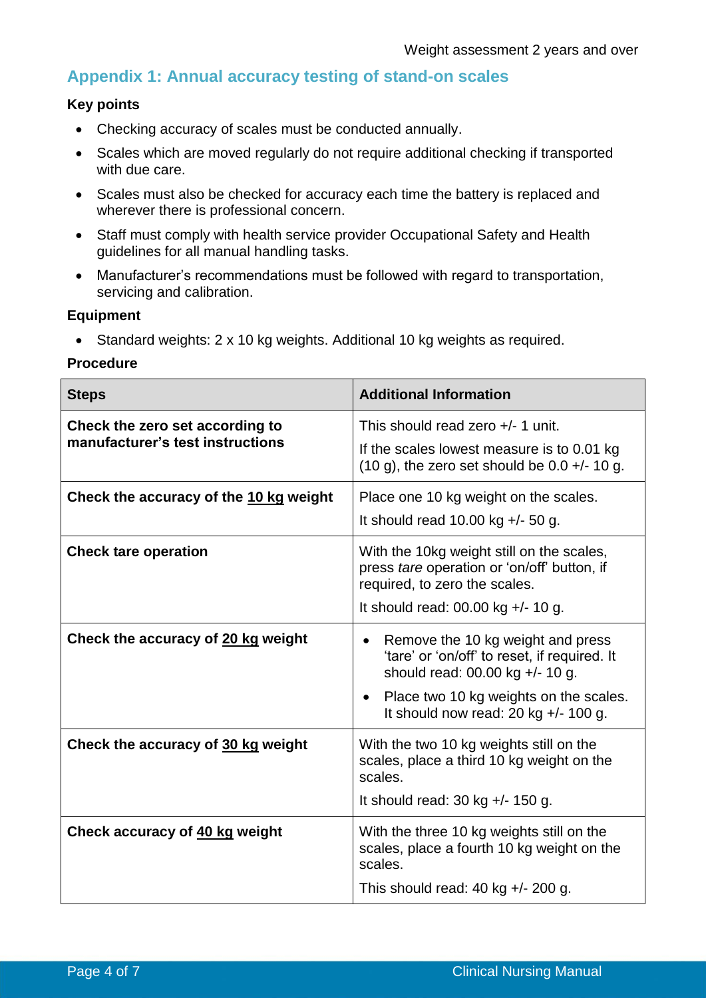## **Appendix 1: Annual accuracy testing of stand-on scales**

### **Key points**

- Checking accuracy of scales must be conducted annually.
- Scales which are moved regularly do not require additional checking if transported with due care.
- Scales must also be checked for accuracy each time the battery is replaced and wherever there is professional concern.
- Staff must comply with health service provider Occupational Safety and Health guidelines for all manual handling tasks.
- Manufacturer's recommendations must be followed with regard to transportation, servicing and calibration.

#### **Equipment**

• Standard weights: 2 x 10 kg weights. Additional 10 kg weights as required.

#### **Procedure**

| <b>Steps</b>                           | <b>Additional Information</b>                                                                                             |  |  |
|----------------------------------------|---------------------------------------------------------------------------------------------------------------------------|--|--|
| Check the zero set according to        | This should read zero +/- 1 unit.                                                                                         |  |  |
| manufacturer's test instructions       | If the scales lowest measure is to 0.01 kg<br>$(10 g)$ , the zero set should be 0.0 +/- 10 g.                             |  |  |
| Check the accuracy of the 10 kg weight | Place one 10 kg weight on the scales.                                                                                     |  |  |
|                                        | It should read 10.00 kg $+/-$ 50 g.                                                                                       |  |  |
| <b>Check tare operation</b>            | With the 10kg weight still on the scales,<br>press tare operation or 'on/off' button, if<br>required, to zero the scales. |  |  |
|                                        | It should read: $00.00$ kg +/- 10 g.                                                                                      |  |  |
| Check the accuracy of 20 kg weight     | Remove the 10 kg weight and press<br>'tare' or 'on/off' to reset, if required. It<br>should read: 00.00 kg +/- 10 g.      |  |  |
|                                        | Place two 10 kg weights on the scales.<br>It should now read: 20 kg $+/-$ 100 g.                                          |  |  |
| Check the accuracy of 30 kg weight     | With the two 10 kg weights still on the<br>scales, place a third 10 kg weight on the<br>scales.                           |  |  |
|                                        | It should read: $30$ kg $+/- 150$ g.                                                                                      |  |  |
| Check accuracy of 40 kg weight         | With the three 10 kg weights still on the<br>scales, place a fourth 10 kg weight on the<br>scales.                        |  |  |
|                                        | This should read: $40$ kg $+/- 200$ g.                                                                                    |  |  |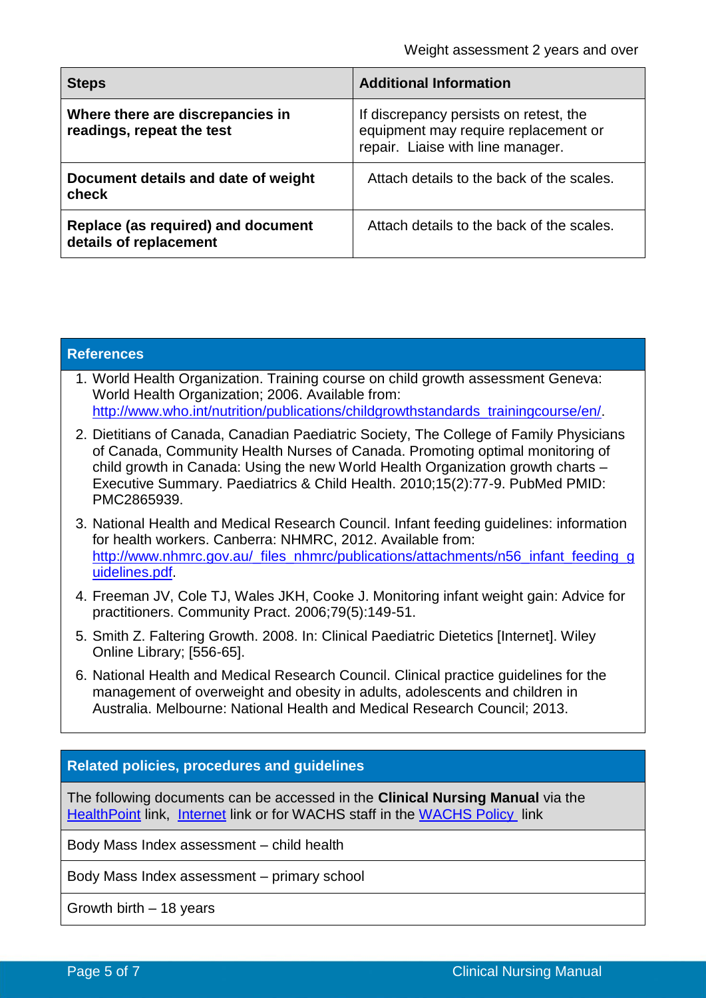| <b>Steps</b>                                                  | <b>Additional Information</b>                                                                                       |  |
|---------------------------------------------------------------|---------------------------------------------------------------------------------------------------------------------|--|
| Where there are discrepancies in<br>readings, repeat the test | If discrepancy persists on retest, the<br>equipment may require replacement or<br>repair. Liaise with line manager. |  |
| Document details and date of weight<br>check                  | Attach details to the back of the scales.                                                                           |  |
| Replace (as required) and document<br>details of replacement  | Attach details to the back of the scales.                                                                           |  |

| <b>References</b>                                                                                                                                                                                                                                                                                                                                         |  |  |  |
|-----------------------------------------------------------------------------------------------------------------------------------------------------------------------------------------------------------------------------------------------------------------------------------------------------------------------------------------------------------|--|--|--|
| 1. World Health Organization. Training course on child growth assessment Geneva:<br>World Health Organization; 2006. Available from:<br>http://www.who.int/nutrition/publications/childgrowthstandards_trainingcourse/en/.                                                                                                                                |  |  |  |
| 2. Dietitians of Canada, Canadian Paediatric Society, The College of Family Physicians<br>of Canada, Community Health Nurses of Canada. Promoting optimal monitoring of<br>child growth in Canada: Using the new World Health Organization growth charts -<br>Executive Summary. Paediatrics & Child Health. 2010;15(2):77-9. PubMed PMID:<br>PMC2865939. |  |  |  |
| 3. National Health and Medical Research Council. Infant feeding guidelines: information<br>for health workers. Canberra: NHMRC, 2012. Available from:<br>http://www.nhmrc.gov.au/_files_nhmrc/publications/attachments/n56_infant_feeding_g<br>uidelines.pdf.                                                                                             |  |  |  |
| 4. Freeman JV, Cole TJ, Wales JKH, Cooke J. Monitoring infant weight gain: Advice for<br>practitioners. Community Pract. 2006;79(5):149-51.                                                                                                                                                                                                               |  |  |  |
| 5. Smith Z. Faltering Growth. 2008. In: Clinical Paediatric Dietetics [Internet]. Wiley<br>Online Library; [556-65].                                                                                                                                                                                                                                      |  |  |  |
| 6. National Health and Medical Research Council. Clinical practice guidelines for the<br>management of overweight and obesity in adults, adolescents and children in<br>Australia. Melbourne: National Health and Medical Research Council: 2013.                                                                                                         |  |  |  |
|                                                                                                                                                                                                                                                                                                                                                           |  |  |  |
| <b>Related policies, procedures and guidelines</b>                                                                                                                                                                                                                                                                                                        |  |  |  |
| The following documents can be accessed in the Clinical Nursing Manual via the<br>Health Point link, Internet link or for WACHS staff in the WACHS Policy link                                                                                                                                                                                            |  |  |  |
| Body Mass Index assessment - child health                                                                                                                                                                                                                                                                                                                 |  |  |  |
| Body Mass Index assessment – primary school                                                                                                                                                                                                                                                                                                               |  |  |  |

Growth birth – 18 years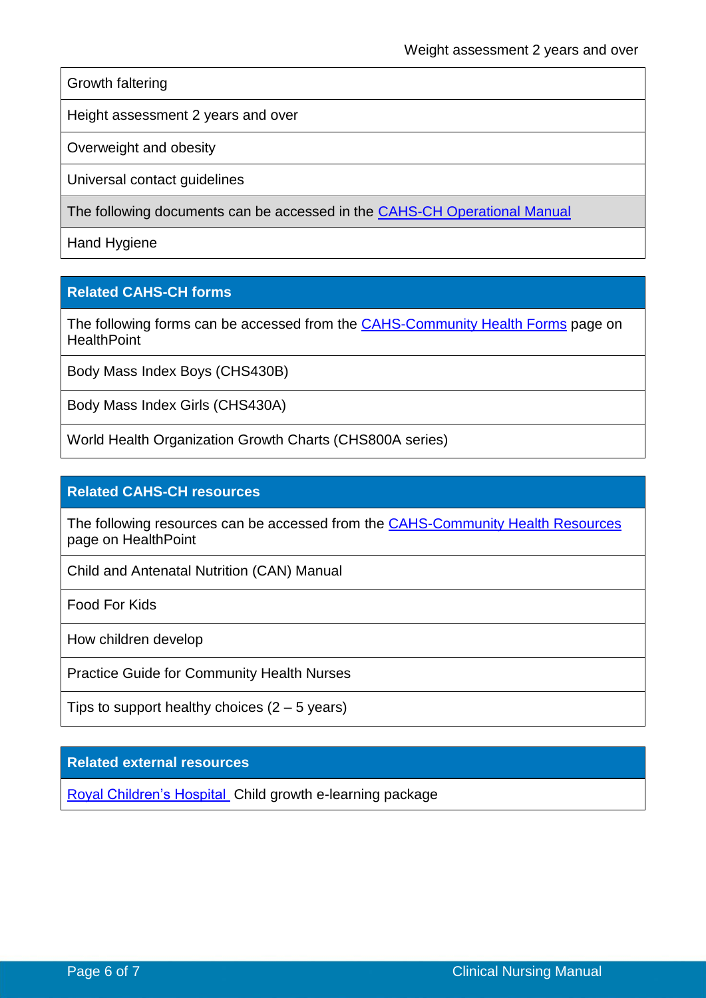Growth faltering

Height assessment 2 years and over

Overweight and obesity

Universal contact guidelines

The following documents can be accessed in the CAHS-CH [Operational Manual](https://healthpoint.hdwa.health.wa.gov.au/policies/Pages/CACH-Operational-Policies.aspx)

Hand Hygiene

### **Related CAHS-CH forms**

The following forms can be accessed from the [CAHS-Community Health Forms](https://cahs-healthpoint.hdwa.health.wa.gov.au/cach/forms/Pages/default.aspx) page on **HealthPoint** 

Body Mass Index Boys (CHS430B)

Body Mass Index Girls (CHS430A)

World Health Organization Growth Charts (CHS800A series)

#### **Related CAHS-CH resources**

The following resources can be accessed from the **[CAHS-Community Health Resources](https://cahs-healthpoint.hdwa.health.wa.gov.au/cach/resources/Pages/default.aspx)** page on HealthPoint

Child and Antenatal Nutrition (CAN) Manual

Food For Kids

How children develop

Practice Guide for Community Health Nurses

Tips to support healthy choices  $(2 – 5$  years)

**Related external resources**

Royal [Children's Hospital](https://www.rch.org.au/childgrowth/Child_growth_e-learning/) Child growth e-learning package